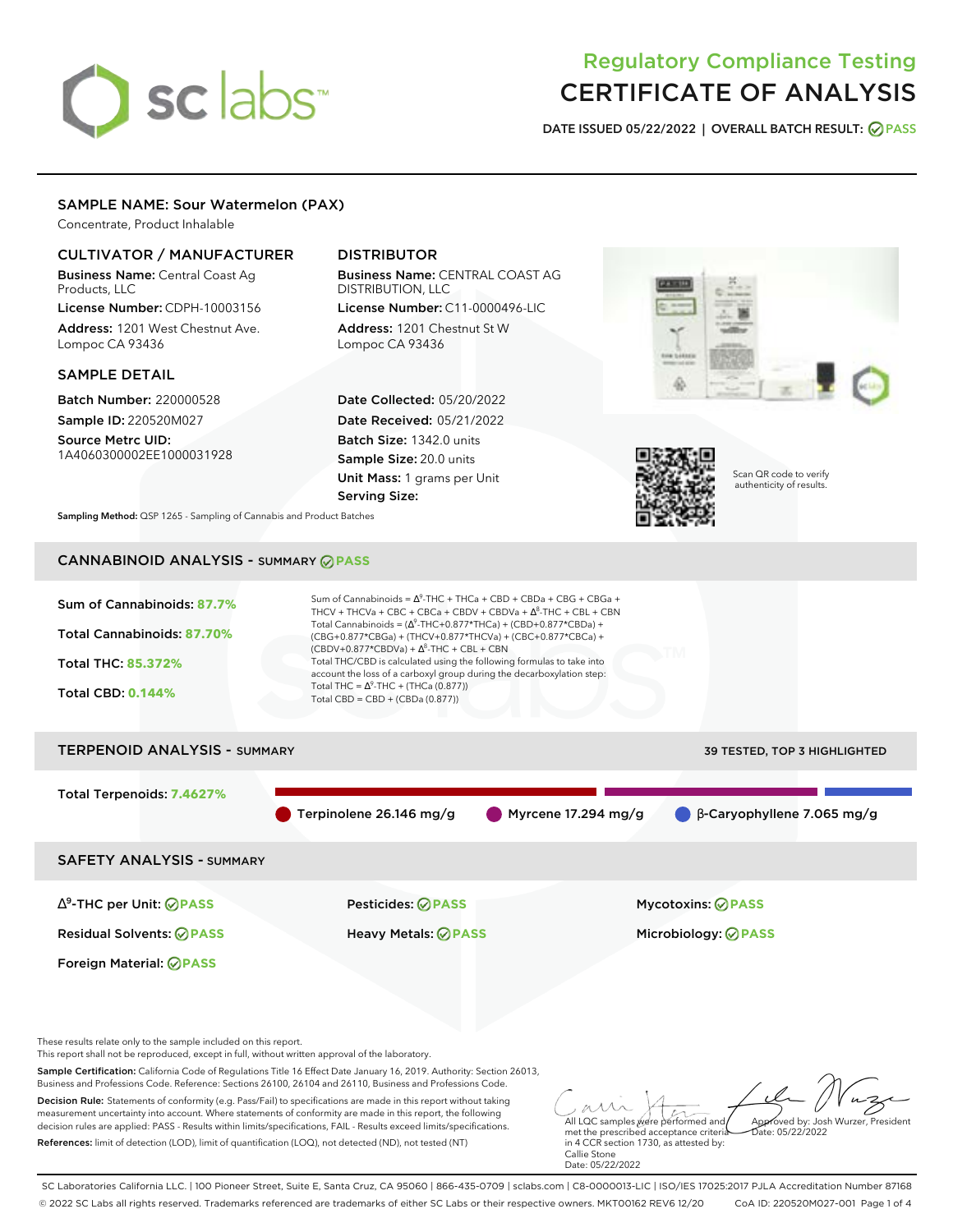# sclabs<sup>\*</sup>

# Regulatory Compliance Testing CERTIFICATE OF ANALYSIS

**DATE ISSUED 05/22/2022 | OVERALL BATCH RESULT: PASS**

## SAMPLE NAME: Sour Watermelon (PAX)

Concentrate, Product Inhalable

# CULTIVATOR / MANUFACTURER

Business Name: Central Coast Ag Products, LLC

License Number: CDPH-10003156 Address: 1201 West Chestnut Ave. Lompoc CA 93436

### SAMPLE DETAIL

Batch Number: 220000528 Sample ID: 220520M027

Source Metrc UID: 1A4060300002EE1000031928

# DISTRIBUTOR

Business Name: CENTRAL COAST AG DISTRIBUTION, LLC License Number: C11-0000496-LIC

Address: 1201 Chestnut St W Lompoc CA 93436

Date Collected: 05/20/2022 Date Received: 05/21/2022 Batch Size: 1342.0 units Sample Size: 20.0 units Unit Mass: 1 grams per Unit Serving Size:





Scan QR code to verify authenticity of results.

**Sampling Method:** QSP 1265 - Sampling of Cannabis and Product Batches

# CANNABINOID ANALYSIS - SUMMARY **PASS**



Decision Rule: Statements of conformity (e.g. Pass/Fail) to specifications are made in this report without taking measurement uncertainty into account. Where statements of conformity are made in this report, the following decision rules are applied: PASS - Results within limits/specifications, FAIL - Results exceed limits/specifications. References: limit of detection (LOD), limit of quantification (LOQ), not detected (ND), not tested (NT)

All LQC samples were performed and met the prescribed acceptance criteria in 4 CCR section 1730, as attested by: Callie Stone Date: 05/22/2022 Approved by: Josh Wurzer, President  $ate: 05/22/2022$ 

SC Laboratories California LLC. | 100 Pioneer Street, Suite E, Santa Cruz, CA 95060 | 866-435-0709 | sclabs.com | C8-0000013-LIC | ISO/IES 17025:2017 PJLA Accreditation Number 87168 © 2022 SC Labs all rights reserved. Trademarks referenced are trademarks of either SC Labs or their respective owners. MKT00162 REV6 12/20 CoA ID: 220520M027-001 Page 1 of 4